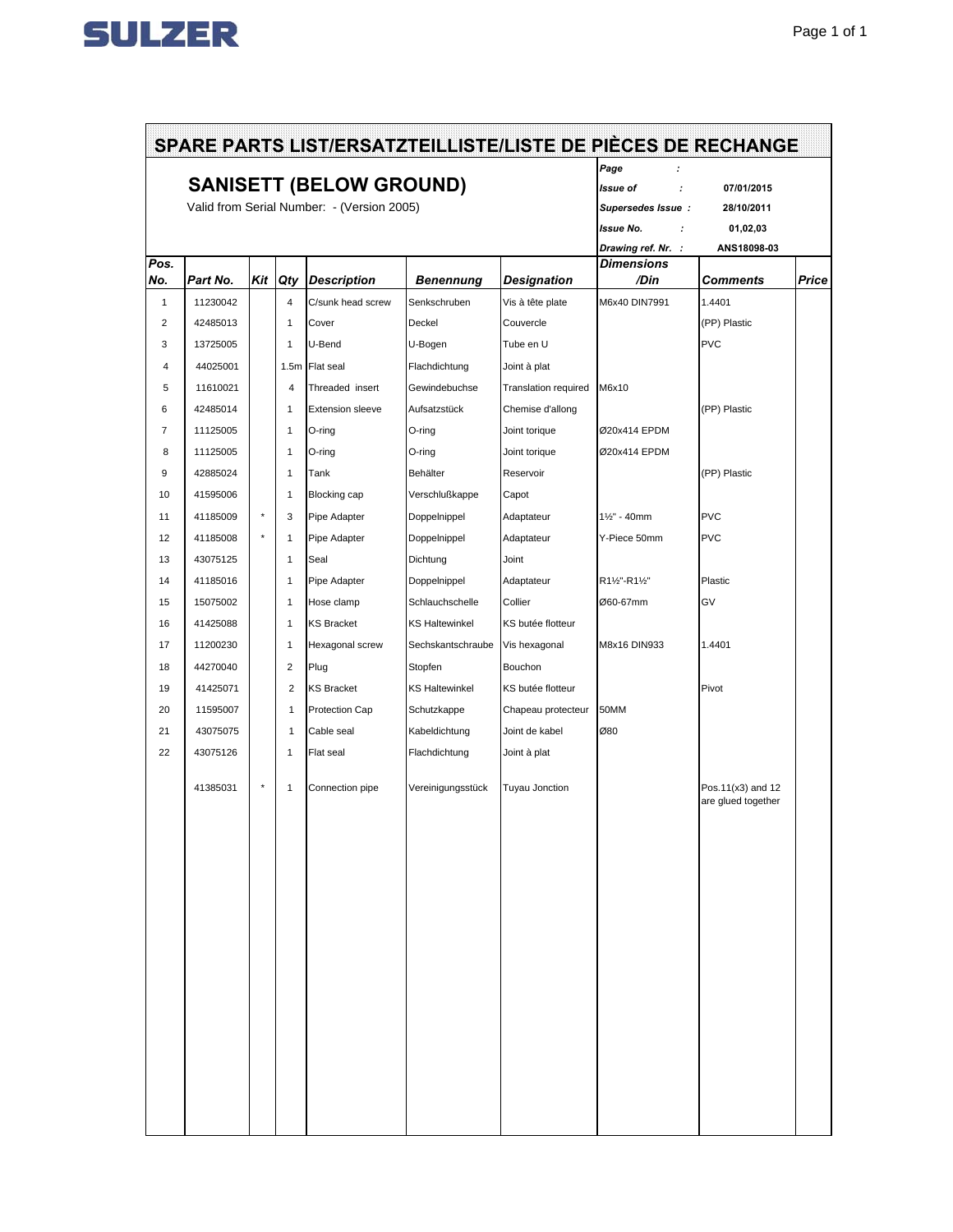

| <b>SANISETT (BELOW GROUND)</b><br>Valid from Serial Number: - (Version 2005) |          |         |                |                         |                       |                       | Page<br>f<br><b>Issue of</b><br>07/01/2015<br>$\cdot$<br>Supersedes Issue:<br>28/10/2011<br><b>Issue No.</b><br>01,02,03<br>÷<br>Drawing ref. Nr. :<br>ANS18098-03 |                                         |  |
|------------------------------------------------------------------------------|----------|---------|----------------|-------------------------|-----------------------|-----------------------|--------------------------------------------------------------------------------------------------------------------------------------------------------------------|-----------------------------------------|--|
| Pos.<br>No.                                                                  | Part No. | Kit     | Qty            | <b>Description</b>      | <b>Benennung</b>      | <b>Designation</b>    | <b>Dimensions</b><br>/Din                                                                                                                                          | <b>Comments</b>                         |  |
| $\mathbf{1}$                                                                 | 11230042 |         | 4              | C/sunk head screw       | Senkschruben          | Vis à tête plate      | M6x40 DIN7991                                                                                                                                                      | 1.4401                                  |  |
| $\overline{2}$                                                               | 42485013 |         | 1              | Cover                   | Deckel                | Couvercle             |                                                                                                                                                                    | (PP) Plastic                            |  |
| 3                                                                            | 13725005 |         | 1              | U-Bend                  | U-Bogen               | Tube en U             |                                                                                                                                                                    | <b>PVC</b>                              |  |
| $\overline{4}$                                                               | 44025001 |         | 1.5m           | Flat seal               | Flachdichtung         | Joint à plat          |                                                                                                                                                                    |                                         |  |
| 5                                                                            | 11610021 |         | 4              | Threaded insert         | Gewindebuchse         | Translation required  | M6x10                                                                                                                                                              |                                         |  |
| 6                                                                            | 42485014 |         | 1              | <b>Extension sleeve</b> | Aufsatzstück          | Chemise d'allong      |                                                                                                                                                                    | (PP) Plastic                            |  |
| $\overline{7}$                                                               | 11125005 |         | 1              | O-ring                  | O-ring                | Joint torique         | Ø20x414 EPDM                                                                                                                                                       |                                         |  |
| 8                                                                            | 11125005 |         | 1              | O-ring                  | O-ring                | Joint torique         | Ø20x414 EPDM                                                                                                                                                       |                                         |  |
| 9                                                                            | 42885024 |         | 1              | Tank                    | Behälter              | Reservoir             |                                                                                                                                                                    | (PP) Plastic                            |  |
| 10                                                                           | 41595006 |         | $\mathbf{1}$   | <b>Blocking cap</b>     | Verschlußkappe        | Capot                 |                                                                                                                                                                    |                                         |  |
| 11                                                                           | 41185009 | ۸       | 3              | Pipe Adapter            | Doppelnippel          | Adaptateur            | $1\frac{1}{2}$ " - 40mm                                                                                                                                            | <b>PVC</b>                              |  |
| 12                                                                           | 41185008 | $\star$ | 1              | Pipe Adapter            | Doppelnippel          | Adaptateur            | Y-Piece 50mm                                                                                                                                                       | <b>PVC</b>                              |  |
| 13                                                                           | 43075125 |         | 1              | Seal                    | Dichtung              | Joint                 |                                                                                                                                                                    |                                         |  |
| 14                                                                           | 41185016 |         | 1              | Pipe Adapter            | Doppelnippel          | Adaptateur            | R11/2"-R11/2"                                                                                                                                                      | Plastic                                 |  |
| 15                                                                           | 15075002 |         | $\mathbf{1}$   | Hose clamp              | Schlauchschelle       | Collier               | Ø60-67mm                                                                                                                                                           | GV                                      |  |
| 16                                                                           | 41425088 |         | 1              | <b>KS Bracket</b>       | <b>KS Haltewinkel</b> | KS butée flotteur     |                                                                                                                                                                    |                                         |  |
| 17                                                                           | 11200230 |         | 1              |                         | Sechskantschraube     |                       | M8x16 DIN933                                                                                                                                                       | 1.4401                                  |  |
|                                                                              |          |         |                | Hexagonal screw         |                       | Vis hexagonal         |                                                                                                                                                                    |                                         |  |
| 18                                                                           | 44270040 |         | 2              | Plug                    | Stopfen               | Bouchon               |                                                                                                                                                                    |                                         |  |
| 19                                                                           | 41425071 |         | $\overline{2}$ | <b>KS Bracket</b>       | <b>KS Haltewinkel</b> | KS butée flotteur     |                                                                                                                                                                    | Pivot                                   |  |
| 20                                                                           | 11595007 |         | $\mathbf{1}$   | <b>Protection Cap</b>   | Schutzkappe           | Chapeau protecteur    | 50MM                                                                                                                                                               |                                         |  |
| 21                                                                           | 43075075 |         | $\mathbf{1}$   | Cable seal              | Kabeldichtung         | Joint de kabel        | Ø80                                                                                                                                                                |                                         |  |
| 22                                                                           | 43075126 |         | 1              | Flat seal               | Flachdichtung         | Joint à plat          |                                                                                                                                                                    |                                         |  |
|                                                                              | 41385031 | $\star$ | 1              | Connection pipe         | Vereinigungsstück     | <b>Tuyau Jonction</b> |                                                                                                                                                                    | Pos.11(x3) and 12<br>are glued together |  |
|                                                                              |          |         |                |                         |                       |                       |                                                                                                                                                                    |                                         |  |